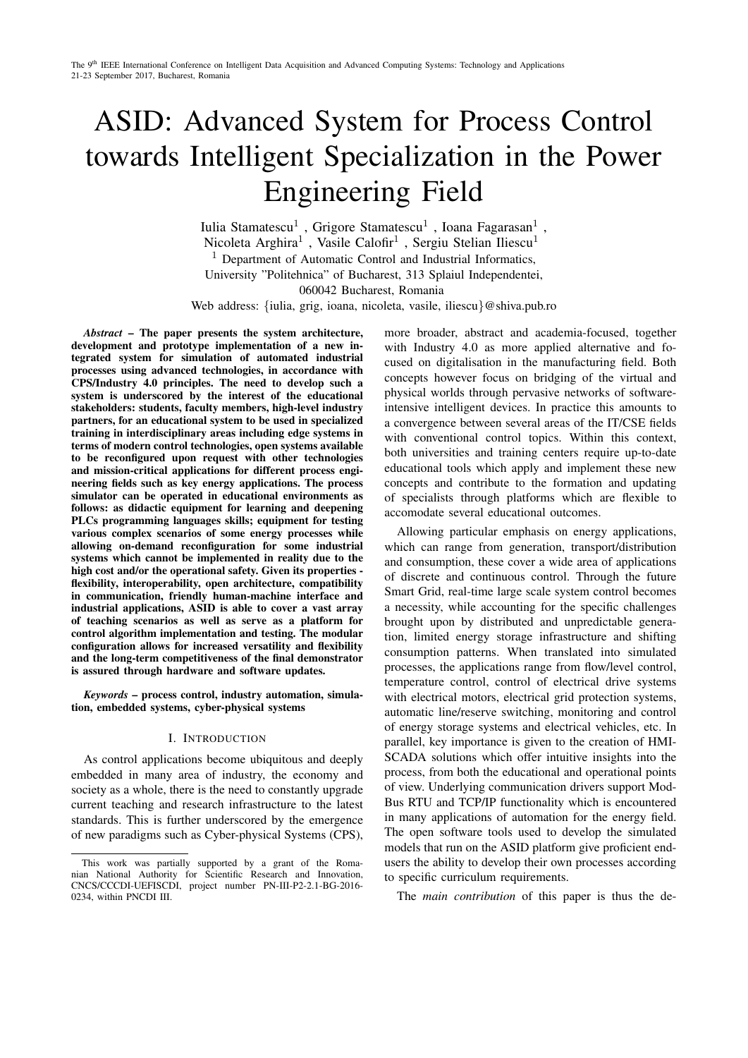# ASID: Advanced System for Process Control towards Intelligent Specialization in the Power Engineering Field

Iulia Stamatescu<sup>1</sup>, Grigore Stamatescu<sup>1</sup>, Ioana Fagarasan<sup>1</sup>, Nicoleta Arghira<sup>1</sup>, Vasile Calofir<sup>1</sup>, Sergiu Stelian Iliescu<sup>1</sup> <sup>1</sup> Department of Automatic Control and Industrial Informatics, University "Politehnica" of Bucharest, 313 Splaiul Independentei, 060042 Bucharest, Romania

Web address: {iulia, grig, ioana, nicoleta, vasile, iliescu}@shiva.pub.ro

*Abstract* – The paper presents the system architecture, development and prototype implementation of a new integrated system for simulation of automated industrial processes using advanced technologies, in accordance with CPS/Industry 4.0 principles. The need to develop such a system is underscored by the interest of the educational stakeholders: students, faculty members, high-level industry partners, for an educational system to be used in specialized training in interdisciplinary areas including edge systems in terms of modern control technologies, open systems available to be reconfigured upon request with other technologies and mission-critical applications for different process engineering fields such as key energy applications. The process simulator can be operated in educational environments as follows: as didactic equipment for learning and deepening PLCs programming languages skills; equipment for testing various complex scenarios of some energy processes while allowing on-demand reconfiguration for some industrial systems which cannot be implemented in reality due to the high cost and/or the operational safety. Given its properties flexibility, interoperability, open architecture, compatibility in communication, friendly human-machine interface and industrial applications, ASID is able to cover a vast array of teaching scenarios as well as serve as a platform for control algorithm implementation and testing. The modular configuration allows for increased versatility and flexibility and the long-term competitiveness of the final demonstrator is assured through hardware and software updates.

*Keywords* – process control, industry automation, simulation, embedded systems, cyber-physical systems

## I. INTRODUCTION

As control applications become ubiquitous and deeply embedded in many area of industry, the economy and society as a whole, there is the need to constantly upgrade current teaching and research infrastructure to the latest standards. This is further underscored by the emergence of new paradigms such as Cyber-physical Systems (CPS), more broader, abstract and academia-focused, together with Industry 4.0 as more applied alternative and focused on digitalisation in the manufacturing field. Both concepts however focus on bridging of the virtual and physical worlds through pervasive networks of softwareintensive intelligent devices. In practice this amounts to a convergence between several areas of the IT/CSE fields with conventional control topics. Within this context, both universities and training centers require up-to-date educational tools which apply and implement these new concepts and contribute to the formation and updating of specialists through platforms which are flexible to accomodate several educational outcomes.

Allowing particular emphasis on energy applications, which can range from generation, transport/distribution and consumption, these cover a wide area of applications of discrete and continuous control. Through the future Smart Grid, real-time large scale system control becomes a necessity, while accounting for the specific challenges brought upon by distributed and unpredictable generation, limited energy storage infrastructure and shifting consumption patterns. When translated into simulated processes, the applications range from flow/level control, temperature control, control of electrical drive systems with electrical motors, electrical grid protection systems, automatic line/reserve switching, monitoring and control of energy storage systems and electrical vehicles, etc. In parallel, key importance is given to the creation of HMI-SCADA solutions which offer intuitive insights into the process, from both the educational and operational points of view. Underlying communication drivers support Mod-Bus RTU and TCP/IP functionality which is encountered in many applications of automation for the energy field. The open software tools used to develop the simulated models that run on the ASID platform give proficient endusers the ability to develop their own processes according to specific curriculum requirements.

The *main contribution* of this paper is thus the de-

This work was partially supported by a grant of the Romanian National Authority for Scientific Research and Innovation, CNCS/CCCDI-UEFISCDI, project number PN-III-P2-2.1-BG-2016- 0234, within PNCDI III.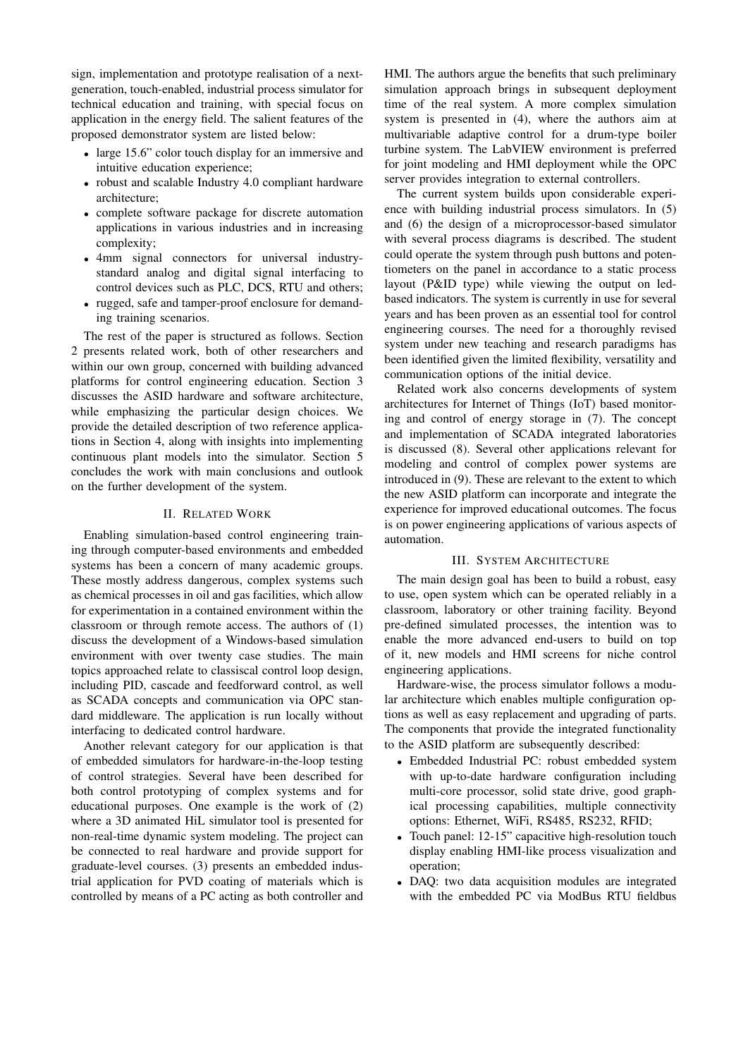sign, implementation and prototype realisation of a nextgeneration, touch-enabled, industrial process simulator for technical education and training, with special focus on application in the energy field. The salient features of the proposed demonstrator system are listed below:

- large 15.6" color touch display for an immersive and intuitive education experience;
- robust and scalable Industry 4.0 compliant hardware architecture;
- complete software package for discrete automation applications in various industries and in increasing complexity;
- 4mm signal connectors for universal industrystandard analog and digital signal interfacing to control devices such as PLC, DCS, RTU and others;
- rugged, safe and tamper-proof enclosure for demanding training scenarios.

The rest of the paper is structured as follows. Section 2 presents related work, both of other researchers and within our own group, concerned with building advanced platforms for control engineering education. Section 3 discusses the ASID hardware and software architecture, while emphasizing the particular design choices. We provide the detailed description of two reference applications in Section 4, along with insights into implementing continuous plant models into the simulator. Section 5 concludes the work with main conclusions and outlook on the further development of the system.

## II. RELATED WORK

Enabling simulation-based control engineering training through computer-based environments and embedded systems has been a concern of many academic groups. These mostly address dangerous, complex systems such as chemical processes in oil and gas facilities, which allow for experimentation in a contained environment within the classroom or through remote access. The authors of (1) discuss the development of a Windows-based simulation environment with over twenty case studies. The main topics approached relate to classiscal control loop design, including PID, cascade and feedforward control, as well as SCADA concepts and communication via OPC standard middleware. The application is run locally without interfacing to dedicated control hardware.

Another relevant category for our application is that of embedded simulators for hardware-in-the-loop testing of control strategies. Several have been described for both control prototyping of complex systems and for educational purposes. One example is the work of (2) where a 3D animated HiL simulator tool is presented for non-real-time dynamic system modeling. The project can be connected to real hardware and provide support for graduate-level courses. (3) presents an embedded industrial application for PVD coating of materials which is controlled by means of a PC acting as both controller and HMI. The authors argue the benefits that such preliminary simulation approach brings in subsequent deployment time of the real system. A more complex simulation system is presented in (4), where the authors aim at multivariable adaptive control for a drum-type boiler turbine system. The LabVIEW environment is preferred for joint modeling and HMI deployment while the OPC server provides integration to external controllers.

The current system builds upon considerable experience with building industrial process simulators. In (5) and (6) the design of a microprocessor-based simulator with several process diagrams is described. The student could operate the system through push buttons and potentiometers on the panel in accordance to a static process layout (P&ID type) while viewing the output on ledbased indicators. The system is currently in use for several years and has been proven as an essential tool for control engineering courses. The need for a thoroughly revised system under new teaching and research paradigms has been identified given the limited flexibility, versatility and communication options of the initial device.

Related work also concerns developments of system architectures for Internet of Things (IoT) based monitoring and control of energy storage in (7). The concept and implementation of SCADA integrated laboratories is discussed (8). Several other applications relevant for modeling and control of complex power systems are introduced in (9). These are relevant to the extent to which the new ASID platform can incorporate and integrate the experience for improved educational outcomes. The focus is on power engineering applications of various aspects of automation.

## III. SYSTEM ARCHITECTURE

The main design goal has been to build a robust, easy to use, open system which can be operated reliably in a classroom, laboratory or other training facility. Beyond pre-defined simulated processes, the intention was to enable the more advanced end-users to build on top of it, new models and HMI screens for niche control engineering applications.

Hardware-wise, the process simulator follows a modular architecture which enables multiple configuration options as well as easy replacement and upgrading of parts. The components that provide the integrated functionality to the ASID platform are subsequently described:

- Embedded Industrial PC: robust embedded system with up-to-date hardware configuration including multi-core processor, solid state drive, good graphical processing capabilities, multiple connectivity options: Ethernet, WiFi, RS485, RS232, RFID;
- Touch panel: 12-15" capacitive high-resolution touch display enabling HMI-like process visualization and operation;
- DAQ: two data acquisition modules are integrated with the embedded PC via ModBus RTU fieldbus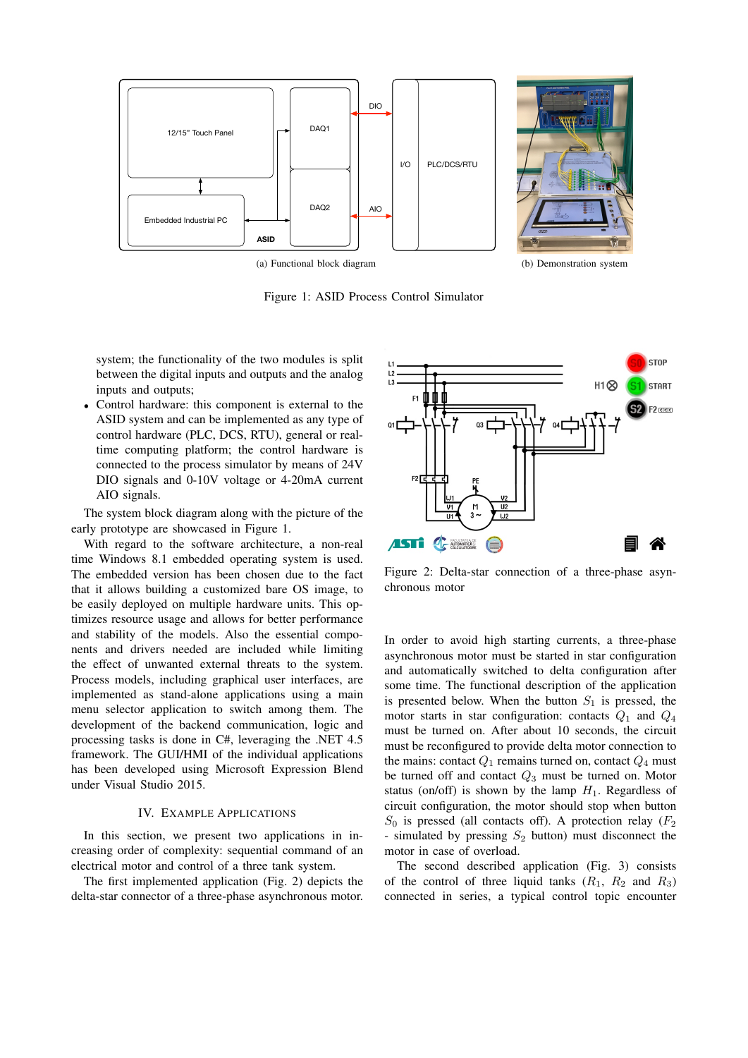

Figure 1: ASID Process Control Simulator

system; the functionality of the two modules is split between the digital inputs and outputs and the analog inputs and outputs;

• Control hardware: this component is external to the ASID system and can be implemented as any type of control hardware (PLC, DCS, RTU), general or realtime computing platform; the control hardware is connected to the process simulator by means of 24V DIO signals and 0-10V voltage or 4-20mA current AIO signals.

The system block diagram along with the picture of the early prototype are showcased in Figure 1.

With regard to the software architecture, a non-real time Windows 8.1 embedded operating system is used. The embedded version has been chosen due to the fact that it allows building a customized bare OS image, to be easily deployed on multiple hardware units. This optimizes resource usage and allows for better performance and stability of the models. Also the essential components and drivers needed are included while limiting the effect of unwanted external threats to the system. Process models, including graphical user interfaces, are implemented as stand-alone applications using a main menu selector application to switch among them. The development of the backend communication, logic and processing tasks is done in C#, leveraging the .NET 4.5 framework. The GUI/HMI of the individual applications has been developed using Microsoft Expression Blend under Visual Studio 2015.

#### IV. EXAMPLE APPLICATIONS

In this section, we present two applications in increasing order of complexity: sequential command of an electrical motor and control of a three tank system.

The first implemented application (Fig. 2) depicts the delta-star connector of a three-phase asynchronous motor.



Figure 2: Delta-star connection of a three-phase asynchronous motor

In order to avoid high starting currents, a three-phase asynchronous motor must be started in star configuration and automatically switched to delta configuration after some time. The functional description of the application is presented below. When the button  $S_1$  is pressed, the motor starts in star configuration: contacts  $Q_1$  and  $Q_4$ must be turned on. After about 10 seconds, the circuit must be reconfigured to provide delta motor connection to the mains: contact  $Q_1$  remains turned on, contact  $Q_4$  must be turned off and contact  $Q_3$  must be turned on. Motor status (on/off) is shown by the lamp  $H_1$ . Regardless of circuit configuration, the motor should stop when button  $S_0$  is pressed (all contacts off). A protection relay ( $F_2$ ) - simulated by pressing  $S_2$  button) must disconnect the motor in case of overload.

The second described application (Fig. 3) consists of the control of three liquid tanks  $(R_1, R_2 \text{ and } R_3)$ connected in series, a typical control topic encounter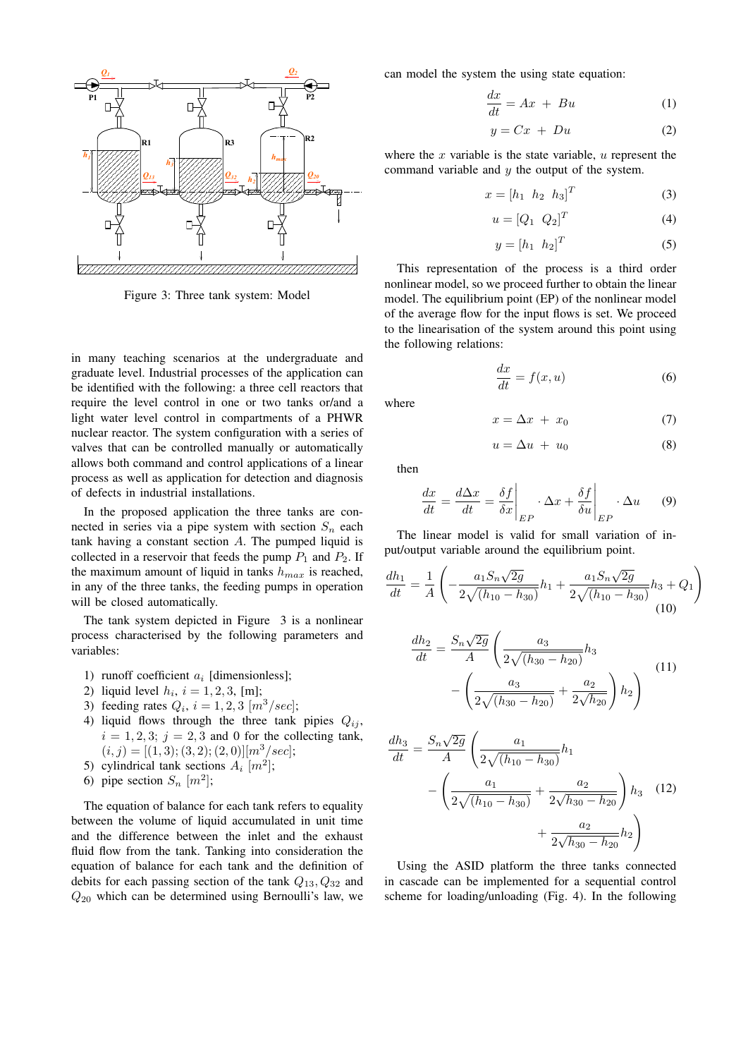

Figure 3: Three tank system: Model

in many teaching scenarios at the undergraduate and graduate level. Industrial processes of the application can be identified with the following: a three cell reactors that require the level control in one or two tanks or/and a light water level control in compartments of a PHWR nuclear reactor. The system configuration with a series of valves that can be controlled manually or automatically allows both command and control applications of a linear process as well as application for detection and diagnosis of defects in industrial installations.

In the proposed application the three tanks are connected in series via a pipe system with section  $S_n$  each tank having a constant section A. The pumped liquid is collected in a reservoir that feeds the pump  $P_1$  and  $P_2$ . If the maximum amount of liquid in tanks  $h_{max}$  is reached, in any of the three tanks, the feeding pumps in operation will be closed automatically.

The tank system depicted in Figure 3 is a nonlinear process characterised by the following parameters and variables:

- 1) runoff coefficient  $a_i$  [dimensionless];
- 2) liquid level  $h_i$ ,  $i = 1, 2, 3$ , [m];
- 3) feeding rates  $Q_i$ ,  $i = 1, 2, 3$   $[m^3/sec]$ ;
- 4) liquid flows through the three tank pipies  $Q_{ij}$ ,  $i = 1, 2, 3; j = 2, 3$  and 0 for the collecting tank,  $(i, j) = [(1, 3); (3, 2); (2, 0)] [m<sup>3</sup>/sec];$
- 5) cylindrical tank sections  $A_i$   $[m^2]$ ;
- 6) pipe section  $S_n$   $[m^2]$ ;

The equation of balance for each tank refers to equality between the volume of liquid accumulated in unit time and the difference between the inlet and the exhaust fluid flow from the tank. Tanking into consideration the equation of balance for each tank and the definition of debits for each passing section of the tank  $Q_{13}, Q_{32}$  and  $Q_{20}$  which can be determined using Bernoulli's law, we can model the system the using state equation:

$$
\frac{dx}{dt} = Ax + Bu \tag{1}
$$

$$
y = Cx + Du \tag{2}
$$

where the  $x$  variable is the state variable,  $u$  represent the command variable and  $y$  the output of the system.

$$
x = \begin{bmatrix} h_1 & h_2 & h_3 \end{bmatrix}^T \tag{3}
$$

$$
u = [Q_1 \ Q_2]^T \tag{4}
$$

$$
y = [h_1 \quad h_2]^T \tag{5}
$$

This representation of the process is a third order nonlinear model, so we proceed further to obtain the linear model. The equilibrium point (EP) of the nonlinear model of the average flow for the input flows is set. We proceed to the linearisation of the system around this point using the following relations:

$$
\frac{dx}{dt} = f(x, u) \tag{6}
$$

where

$$
x = \Delta x + x_0 \tag{7}
$$

$$
u = \Delta u + u_0 \tag{8}
$$

then

$$
\frac{dx}{dt} = \frac{d\Delta x}{dt} = \frac{\delta f}{\delta x}\Big|_{EP} \cdot \Delta x + \frac{\delta f}{\delta u}\Big|_{EP} \cdot \Delta u \qquad (9)
$$

The linear model is valid for small variation of input/output variable around the equilibrium point.

$$
\frac{dh_1}{dt} = \frac{1}{A} \left( -\frac{a_1 S_n \sqrt{2g}}{2\sqrt{(h_{10} - h_{30})}} h_1 + \frac{a_1 S_n \sqrt{2g}}{2\sqrt{(h_{10} - h_{30})}} h_3 + Q_1 \right)
$$
(10)

$$
\frac{dh_2}{dt} = \frac{S_n \sqrt{2g}}{A} \left( \frac{a_3}{2\sqrt{(h_{30} - h_{20})}} h_3 - \left( \frac{a_3}{2\sqrt{(h_{30} - h_{20})}} + \frac{a_2}{2\sqrt{h_{20}}} \right) h_2 \right)
$$
(11)

$$
\frac{dh_3}{dt} = \frac{S_n \sqrt{2g}}{A} \left( \frac{a_1}{2\sqrt{(h_{10} - h_{30})}} h_1 - \left( \frac{a_1}{2\sqrt{(h_{10} - h_{30})}} + \frac{a_2}{2\sqrt{h_{30} - h_{20}}} \right) h_3 \quad (12) + \frac{a_2}{2\sqrt{h_{30} - h_{20}}} h_2 \right)
$$

Using the ASID platform the three tanks connected in cascade can be implemented for a sequential control scheme for loading/unloading (Fig. 4). In the following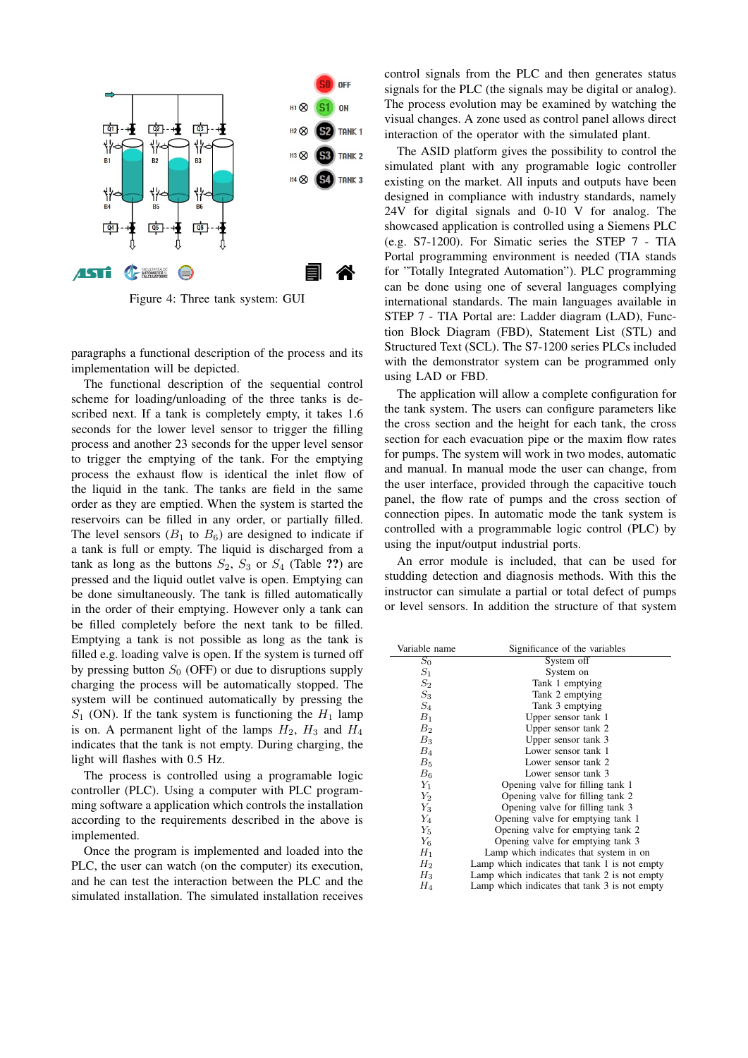

Figure 4: Three tank system: GUI

paragraphs a functional description of the process and its implementation will be depicted.

The functional description of the sequential control scheme for loading/unloading of the three tanks is described next. If a tank is completely empty, it takes 1.6 seconds for the lower level sensor to trigger the filling process and another 23 seconds for the upper level sensor to trigger the emptying of the tank. For the emptying process the exhaust flow is identical the inlet flow of the liquid in the tank. The tanks are field in the same order as they are emptied. When the system is started the reservoirs can be filled in any order, or partially filled. The level sensors  $(B_1 \text{ to } B_6)$  are designed to indicate if a tank is full or empty. The liquid is discharged from a tank as long as the buttons  $S_2$ ,  $S_3$  or  $S_4$  (Table ??) are pressed and the liquid outlet valve is open. Emptying can be done simultaneously. The tank is filled automatically in the order of their emptying. However only a tank can be filled completely before the next tank to be filled. Emptying a tank is not possible as long as the tank is filled e.g. loading valve is open. If the system is turned off by pressing button  $S_0$  (OFF) or due to disruptions supply charging the process will be automatically stopped. The system will be continued automatically by pressing the  $S_1$  (ON). If the tank system is functioning the  $H_1$  lamp is on. A permanent light of the lamps  $H_2$ ,  $H_3$  and  $H_4$ indicates that the tank is not empty. During charging, the light will flashes with 0.5 Hz.

The process is controlled using a programable logic controller (PLC). Using a computer with PLC programming software a application which controls the installation according to the requirements described in the above is implemented.

Once the program is implemented and loaded into the PLC, the user can watch (on the computer) its execution, and he can test the interaction between the PLC and the simulated installation. The simulated installation receives

control signals from the PLC and then generates status signals for the PLC (the signals may be digital or analog). The process evolution may be examined by watching the visual changes. A zone used as control panel allows direct interaction of the operator with the simulated plant.

The ASID platform gives the possibility to control the simulated plant with any programable logic controller existing on the market. All inputs and outputs have been designed in compliance with industry standards, namely 24V for digital signals and 0-10 V for analog. The showcased application is controlled using a Siemens PLC (e.g. S7-1200). For Simatic series the STEP 7 - TIA Portal programming environment is needed (TIA stands for "Totally Integrated Automation"). PLC programming can be done using one of several languages complying international standards. The main languages available in STEP 7 - TIA Portal are: Ladder diagram (LAD), Function Block Diagram (FBD), Statement List (STL) and Structured Text (SCL). The S7-1200 series PLCs included with the demonstrator system can be programmed only using LAD or FBD.

The application will allow a complete configuration for the tank system. The users can configure parameters like the cross section and the height for each tank, the cross section for each evacuation pipe or the maxim flow rates for pumps. The system will work in two modes, automatic and manual. In manual mode the user can change, from the user interface, provided through the capacitive touch panel, the flow rate of pumps and the cross section of connection pipes. In automatic mode the tank system is controlled with a programmable logic control (PLC) by using the input/output industrial ports.

An error module is included, that can be used for studding detection and diagnosis methods. With this the instructor can simulate a partial or total defect of pumps or level sensors. In addition the structure of that system

| Variable name  | Significance of the variables                 |
|----------------|-----------------------------------------------|
| $S_0$          | System off                                    |
| $S_1$          | System on                                     |
| $S_2$          | Tank 1 emptying                               |
| $S_3$          | Tank 2 emptying                               |
| $S_4$          | Tank 3 emptying                               |
| $B_1$          | Upper sensor tank 1                           |
| B <sub>2</sub> | Upper sensor tank 2                           |
| $B_3$          | Upper sensor tank 3                           |
| $B_4$          | Lower sensor tank 1                           |
| $B_5$          | Lower sensor tank 2                           |
| $B_6$          | Lower sensor tank 3                           |
| $Y_1$          | Opening valve for filling tank 1              |
| $Y_2$          | Opening valve for filling tank 2              |
| $Y_3$          | Opening valve for filling tank 3              |
| $Y_4$          | Opening valve for emptying tank 1             |
| $Y_5$          | Opening valve for emptying tank 2             |
| $Y_6$          | Opening valve for emptying tank 3             |
| $H_1$          | Lamp which indicates that system in on        |
| $H_2$          | Lamp which indicates that tank 1 is not empty |
| $H_3$          | Lamp which indicates that tank 2 is not empty |
| $H_4$          | Lamp which indicates that tank 3 is not empty |